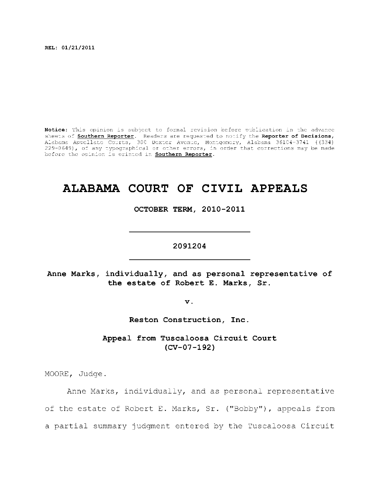**REL: 01/21/2011** 

Notice: This opinion is subject to formal revision before publication in the advance sheets of **Southern Reporter**. Readers are requested to notify the Reporter of Decisions, Alabama Appellat e Courts , 300 Dexte r Avenue, Montgomery, Alabama 36104-3741 ((334) 229-0649), of any typographical or other errors, in order that corrections may be made before the opinion is printed in **Southern Reporter**.

# **ALABAMA COURT OF CIVIL APPEALS**

OCTOBER TERM, 2010-2011

2091204

**2091204** 

**Anne Marks, individually , and as personal representative of the estate of Robert E. Marks, Sr.** 

**v.** 

**Reston Construction, Inc.** 

Appeal from Tuscaloosa Circuit Court **(CV-07-192)** 

MOORE, Judge.

Anne Marks, individually, and as personal representative of the estate of Robert E. Marks, Sr. ("Bobby"), appeals from a partial summary judgment entered by the Tuscaloosa Circuit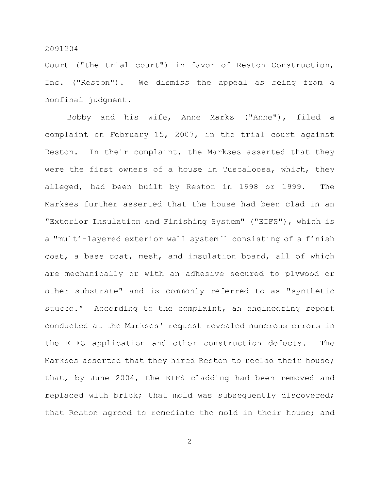Court ("the trial court") in favor of Reston Construction, Inc. ("Reston"). We dismiss the appeal as being from a nonfinal judgment.

Bobby and his wife, Anne Marks ("Anne"), filed a complaint on February 15, 2007, in the trial court against Reston. In their complaint, the Markses asserted that they were the first owners of a house in Tuscaloosa, which, they alleged, had been built by Reston in 1998 or 1999. The Markses further asserted that the house had been clad in an "Exterior Insulation and Finishing System" ("EIFS"), which is a "multi-layered exterior wall system[] consisting of a finish coat, a base coat, mesh, and insulation board, all of which are mechanically or with an adhesive secured to plywood or other substrate" and is commonly referred to as "synthetic stucco." According to the complaint, an engineering report conducted at the Markses' request revealed numerous errors in the EIFS application and other construction defects. The Markses asserted that they hired Reston to reclad their house; that, by June 2004, the EIFS cladding had been removed and replaced with brick; that mold was subsequently discovered; that Reston agreed to remediate the mold in their house; and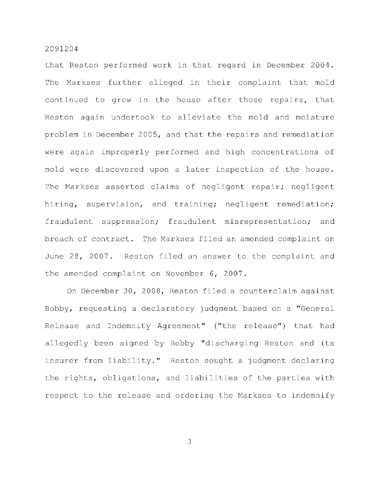that Reston performed work in that regard in December 2004. The Markses further alleged in their complaint that mold continued to grow in the house after those repairs, that Reston again undertook to alleviate the mold and moisture problem in December 2005, and that the repairs and remediation were again improperly performed and high concentrations of mold were discovered upon a later inspection of the house. The Markses asserted claims of negligent repair; negligent hiring, supervision, and training; negligent remediation; fraudulent suppression; fraudulent misrepresentation; and breach of contract. The Markses filed an amended complaint on June 28, 2007. Reston filed an answer to the complaint and the amended complaint on November  $6, 2007$ .

On December 30, 2008, Reston filed a counterclaim against Bobby, requesting a declaratory judgment based on a "General Release and Indemnity Agreement" ("the release") that had allegedly been signed by Bobby "discharging Reston and its insurer from liability." Reston sought a judgment declaring the rights, obligations, and liabilities of the parties with respect to the release and ordering the Markses to indemnify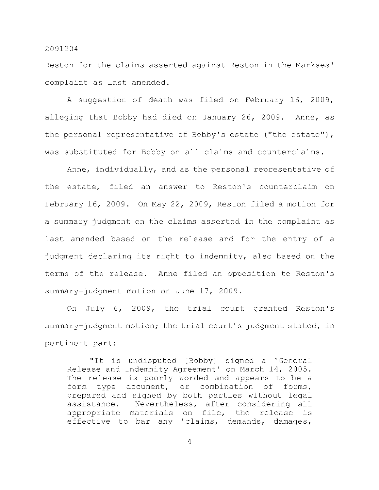Reston for the claims asserted against Reston in the Markses' complaint as last amended.

A suggestion of death was filed on February 16, 2009, alleging that Bobby had died on January 26, 2009. Anne, as the personal representative of Bobby's estate ("the estate"), was substituted for Bobby on all claims and counterclaims.

Anne, individually, and as the personal representative of the estate, filed an answer to Reston's counterclaim on February 16, 2009. On May 22, 2009, Reston filed a motion for a summary judgment on the claims asserted in the complaint as last amended based on the release and for the entry of a judgment declaring its right to indemnity, also based on the terms of the release. Anne filed an opposition to Reston's summary-judgment motion on June 17, 2009.

On July 6, 2009, the trial court granted Reston's summary-judgment motion; the trial court's judgment stated, in pertinent part:

"It is undisputed [Bobby] signed a 'General Release and Indemnity Agreement' on March 14, 2005. The release is poorly worded and appears to be a form type document, or combination of forms, prepared and signed by both parties without legal assistance. Nevertheless, after considering all appropriate materials on file, the release is effective to bar any 'claims, demands, damages,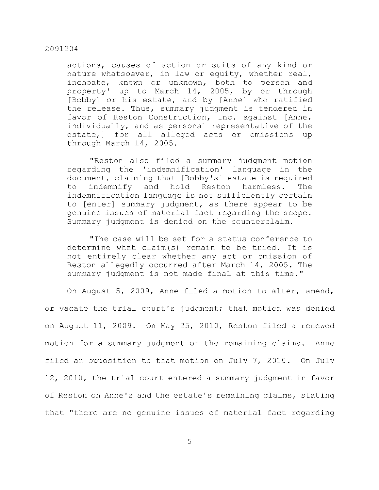actions, causes of action or suits of any kind or nature whatsoever, in law or equity, whether real, inchoate, known or unknown, both to person and property' up to March 14, 2005, by or through [Bobby] or his estate, and by [Anne] who ratified the release. Thus, summary judgment is tendered in favor of Reston Construction, Inc. against [Anne, individually, and as personal representative of the estate, of for all alleged acts or omissions up through March 14, 2005.

"Reston also filed a summary judgment motion regarding the 'indemnification' language in the document, claiming that [Bobby's] estate is required to indemnify and hold Reston harmless. The indemnification language is not sufficiently certain to [enter] summary judgment, as there appear to be genuine issues of material fact regarding the scope. Summary judgment is denied on the counterclaim.

"The case will be set for a status conference to determine what claim $(s)$  remain to be tried. It is not entirely clear whether any act or omission of Reston allegedly occurred after March 14, 2005. The summary judgment is not made final at this time."

On August 5, 2009, Anne filed a motion to alter, amend, or vacate the trial court's judgment; that motion was denied on August 11, 2009. On May 25, 2010, Reston filed a renewed motion for a summary judgment on the remaining claims. Anne filed an opposition to that motion on July 7, 2010. On July 12, 2010, the trial court entered a summary judgment in favor of Reston on Anne's and the estate's remaining claims, stating that "there are no genuine issues of material fact regarding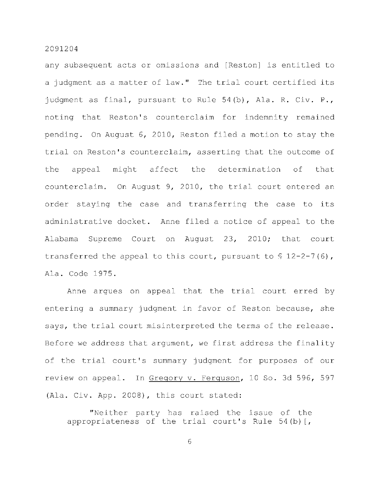any subsequent acts or omissions and [Reston] is entitled to a judgment as a matter of law." The trial court certified its judgment as final, pursuant to Rule  $54(b)$ , Ala. R. Civ. P., noting that Reston's counterclaim for indemnity remained pending. On August  $6, 2010$ , Reston filed a motion to stay the trial on Reston's counterclaim, asserting that the outcome of the appeal might affect the determination of that counterclaim. On August 9, 2010, the trial court entered an order staying the case and transferring the case to its administrative docket. Anne filed a notice of appeal to the Alabama Supreme Court on August 23, 2010; that court transferred the appeal to this court, pursuant to  $\frac{6}{7}$  12-2-7(6), Ala. Code 1975.

Anne argues on appeal that the trial court erred by entering a summary judgment in favor of Reston because, she says, the trial court misinterpreted the terms of the release. Before we address that argument, we first address the finality of the trial court's summary judgment for purposes of our review on appeal. In Gregory v. Ferguson, 10 So. 3d 596, 597 (Ala. Civ. App. 2008), this court stated:

"Neither party has raised the issue of the appropriateness of the trial court's Rule  $54(b)$  [,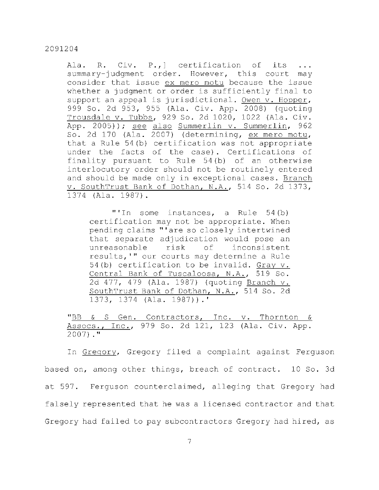Ala. R. Civ. P., ] certification of its summary-judgment order. However, this court may consider that issue ex mero motu because the issue whether a judgment or order is sufficiently final to support an appeal is jurisdictional. Owen v. Hopper, 999 So. 2d 953, 955 (Ala. Civ. App. 2008) (quoting  $Trousdale v. Tubbs, 929 So. 2d 1020, 1022 (Ala. Civ.$ App. 2005)); see also Summerlin v. Summerlin, 962 So. 2d 170 (Ala. 2007) (determining, ex mero motu, that a Rule  $54(b)$  certification was not appropriate under the facts of the case). Certifications of finality pursuant to Rule  $54(b)$  of an otherwise interlocutory order should not be routinely entered and should be made only in exceptional cases. Branch v. SouthTrust Bank of Dothan, N.A., 514 So. 2d 1373, 1374 (Ala. 1987).

"'In some instances, a Rule  $54(b)$ certification may not be appropriate. When pending claims "'are so closely intertwined that separate adjudication would pose an unreasonable risk of inconsistent results,'" our courts may determine a Rule 54(b) certification to be invalid. Gray  $v$ . Central Bank of Tuscaloosa, N.A., 519 So. 2d 477, 479 (Ala. 1987) (quoting Branch v. SouthTrust Bank of Dothan, N.A., 514 So. 2d 1373, 1374 (Ala. 1987)).'

"BB & S Gen. Contractors, Inc. v. Thornton & Assocs., Inc., 979 So. 2d 121, 123 (Ala. Civ. App.  $2007$ )."

In Gregory, Gregory filed a complaint against Ferguson based on, among other things, breach of contract. 10 So. 3d at 597. Ferguson counterclaimed, alleging that Gregory had falsely represented that he was a licensed contractor and that Gregory had failed to pay subcontractors Gregory had hired, as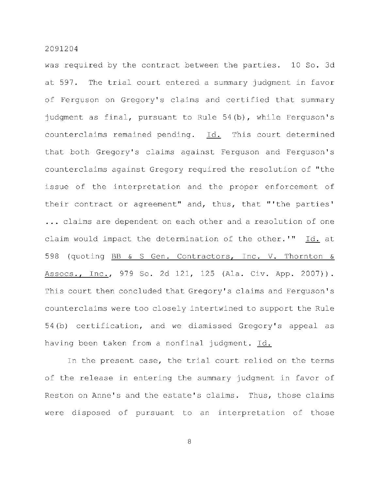was required by the contract between the parties. 10 So. 3d at 597. The trial court entered a summary judgment in favor of Ferguson on Gregory's claims and certified that summary judgment as final, pursuant to Rule  $54(b)$ , while Ferguson's counterclaims remained pending. Id. This court determined that both Gregory's claims against Ferguson and Ferguson's counterclaims against Gregory required the resolution of "the issue of the interpretation and the proper enforcement of their contract or agreement" and, thus, that "'the parties' ... claims are dependent on each other and a resolution of one claim would impact the determination of the other.'" Id. at 598 (quoting BB & S Gen. Contractors, Inc. V. Thornton & Assocs., Inc., 979 So. 2d 121, 125 (Ala. Civ. App. 2007)). This court then concluded that Gregory's claims and Ferguson's counterclaims were too closely intertwined to support the Rule 54(b) certification, and we dismissed Gregory's appeal as having been taken from a nonfinal judgment. Id.

In the present case, the trial court relied on the terms of the release in entering the summary judgment in favor of Reston on Anne's and the estate's claims. Thus, those claims were disposed of pursuant to an interpretation of those